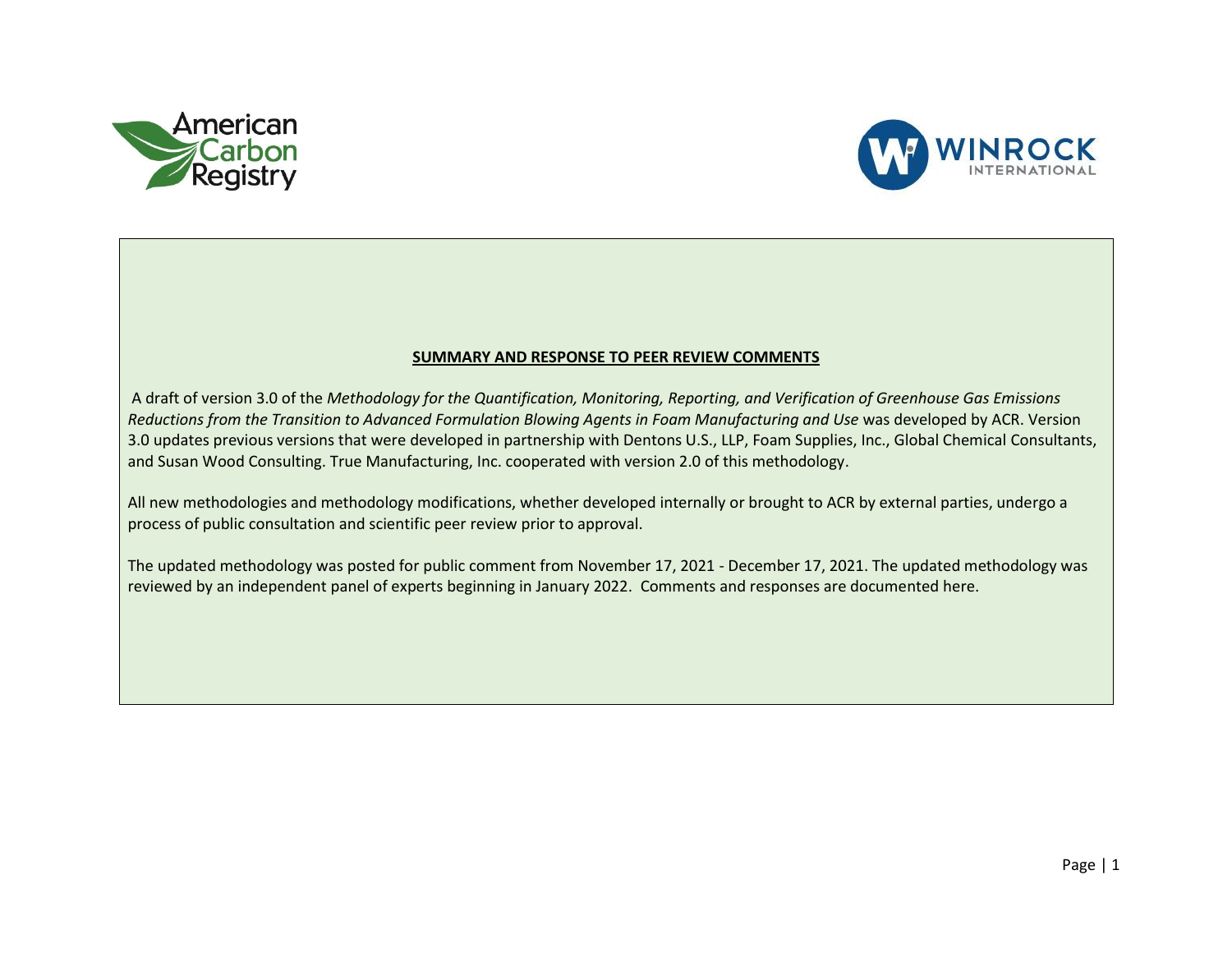



## **SUMMARY AND RESPONSE TO PEER REVIEW COMMENTS**

A draft of version 3.0 of the *Methodology for the Quantification, Monitoring, Reporting, and Verification of Greenhouse Gas Emissions Reductions from the Transition to Advanced Formulation Blowing Agents in Foam Manufacturing and Use* was developed by ACR. Version 3.0 updates previous versions that were developed in partnership with Dentons U.S., LLP, Foam Supplies, Inc., Global Chemical Consultants, and Susan Wood Consulting. True Manufacturing, Inc. cooperated with version 2.0 of this methodology.

All new methodologies and methodology modifications, whether developed internally or brought to ACR by external parties, undergo a process of public consultation and scientific peer review prior to approval.

The updated methodology was posted for public comment from November 17, 2021 - December 17, 2021. The updated methodology was reviewed by an independent panel of experts beginning in January 2022. Comments and responses are documented here.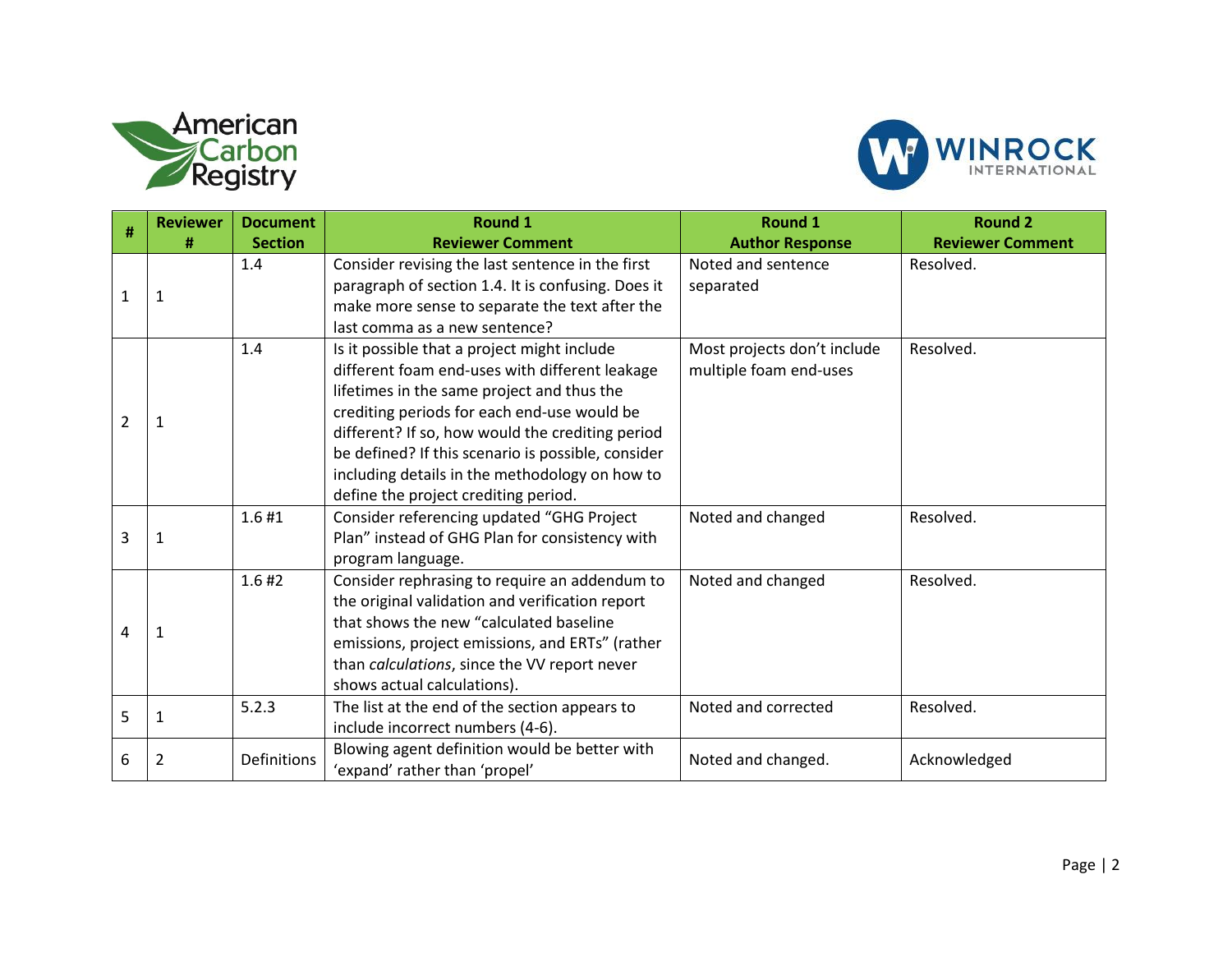



| #              | <b>Reviewer</b> | <b>Document</b> | <b>Round 1</b>                                                                                                                                                                                                                                                                                                                                                                                 | <b>Round 1</b>                                        | <b>Round 2</b>          |
|----------------|-----------------|-----------------|------------------------------------------------------------------------------------------------------------------------------------------------------------------------------------------------------------------------------------------------------------------------------------------------------------------------------------------------------------------------------------------------|-------------------------------------------------------|-------------------------|
|                | #               | <b>Section</b>  | <b>Reviewer Comment</b>                                                                                                                                                                                                                                                                                                                                                                        | <b>Author Response</b>                                | <b>Reviewer Comment</b> |
| $\mathbf{1}$   | 1               | 1.4             | Consider revising the last sentence in the first<br>paragraph of section 1.4. It is confusing. Does it<br>make more sense to separate the text after the                                                                                                                                                                                                                                       | Noted and sentence<br>separated                       | Resolved.               |
|                |                 |                 | last comma as a new sentence?                                                                                                                                                                                                                                                                                                                                                                  |                                                       |                         |
| $\overline{2}$ | 1               | 1.4             | Is it possible that a project might include<br>different foam end-uses with different leakage<br>lifetimes in the same project and thus the<br>crediting periods for each end-use would be<br>different? If so, how would the crediting period<br>be defined? If this scenario is possible, consider<br>including details in the methodology on how to<br>define the project crediting period. | Most projects don't include<br>multiple foam end-uses | Resolved.               |
|                |                 | 1.6#1           | Consider referencing updated "GHG Project                                                                                                                                                                                                                                                                                                                                                      | Noted and changed                                     | Resolved.               |
| 3              | 1               |                 | Plan" instead of GHG Plan for consistency with<br>program language.                                                                                                                                                                                                                                                                                                                            |                                                       |                         |
| 4              | 1               | 1.6#2           | Consider rephrasing to require an addendum to<br>the original validation and verification report<br>that shows the new "calculated baseline<br>emissions, project emissions, and ERTs" (rather<br>than calculations, since the VV report never<br>shows actual calculations).                                                                                                                  | Noted and changed                                     | Resolved.               |
| 5              | 1               | 5.2.3           | The list at the end of the section appears to<br>include incorrect numbers (4-6).                                                                                                                                                                                                                                                                                                              | Noted and corrected                                   | Resolved.               |
| 6              | 2               | Definitions     | Blowing agent definition would be better with<br>'expand' rather than 'propel'                                                                                                                                                                                                                                                                                                                 | Noted and changed.                                    | Acknowledged            |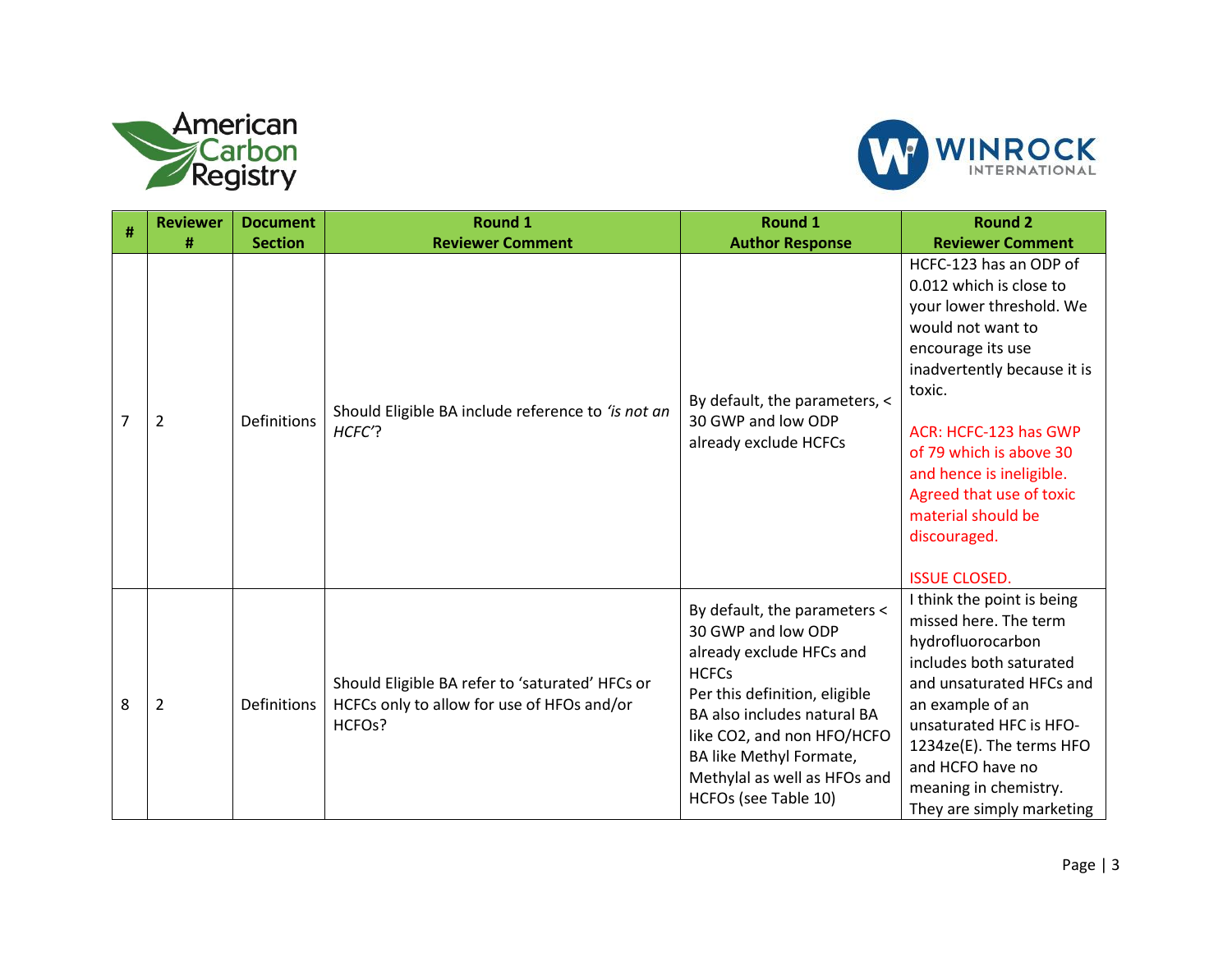



|                | <b>Reviewer</b> | <b>Document</b> | Round 1                                                                                                 | <b>Round 1</b>                                                                                                                                                                                                                                                                  | <b>Round 2</b>                                                                                                                                                                                                                                                                                                                             |
|----------------|-----------------|-----------------|---------------------------------------------------------------------------------------------------------|---------------------------------------------------------------------------------------------------------------------------------------------------------------------------------------------------------------------------------------------------------------------------------|--------------------------------------------------------------------------------------------------------------------------------------------------------------------------------------------------------------------------------------------------------------------------------------------------------------------------------------------|
| #              | #               | <b>Section</b>  | <b>Reviewer Comment</b>                                                                                 | <b>Author Response</b>                                                                                                                                                                                                                                                          | <b>Reviewer Comment</b>                                                                                                                                                                                                                                                                                                                    |
| $\overline{7}$ | $\overline{2}$  | Definitions     | Should Eligible BA include reference to 'is not an<br>HCFC'?                                            | By default, the parameters, <<br>30 GWP and low ODP<br>already exclude HCFCs                                                                                                                                                                                                    | HCFC-123 has an ODP of<br>0.012 which is close to<br>your lower threshold. We<br>would not want to<br>encourage its use<br>inadvertently because it is<br>toxic.<br>ACR: HCFC-123 has GWP<br>of 79 which is above 30<br>and hence is ineligible.<br>Agreed that use of toxic<br>material should be<br>discouraged.<br><b>ISSUE CLOSED.</b> |
| 8              | $\overline{2}$  | Definitions     | Should Eligible BA refer to 'saturated' HFCs or<br>HCFCs only to allow for use of HFOs and/or<br>HCFOs? | By default, the parameters <<br>30 GWP and low ODP<br>already exclude HFCs and<br><b>HCFCs</b><br>Per this definition, eligible<br>BA also includes natural BA<br>like CO2, and non HFO/HCFO<br>BA like Methyl Formate,<br>Methylal as well as HFOs and<br>HCFOs (see Table 10) | I think the point is being<br>missed here. The term<br>hydrofluorocarbon<br>includes both saturated<br>and unsaturated HFCs and<br>an example of an<br>unsaturated HFC is HFO-<br>1234ze(E). The terms HFO<br>and HCFO have no<br>meaning in chemistry.<br>They are simply marketing                                                       |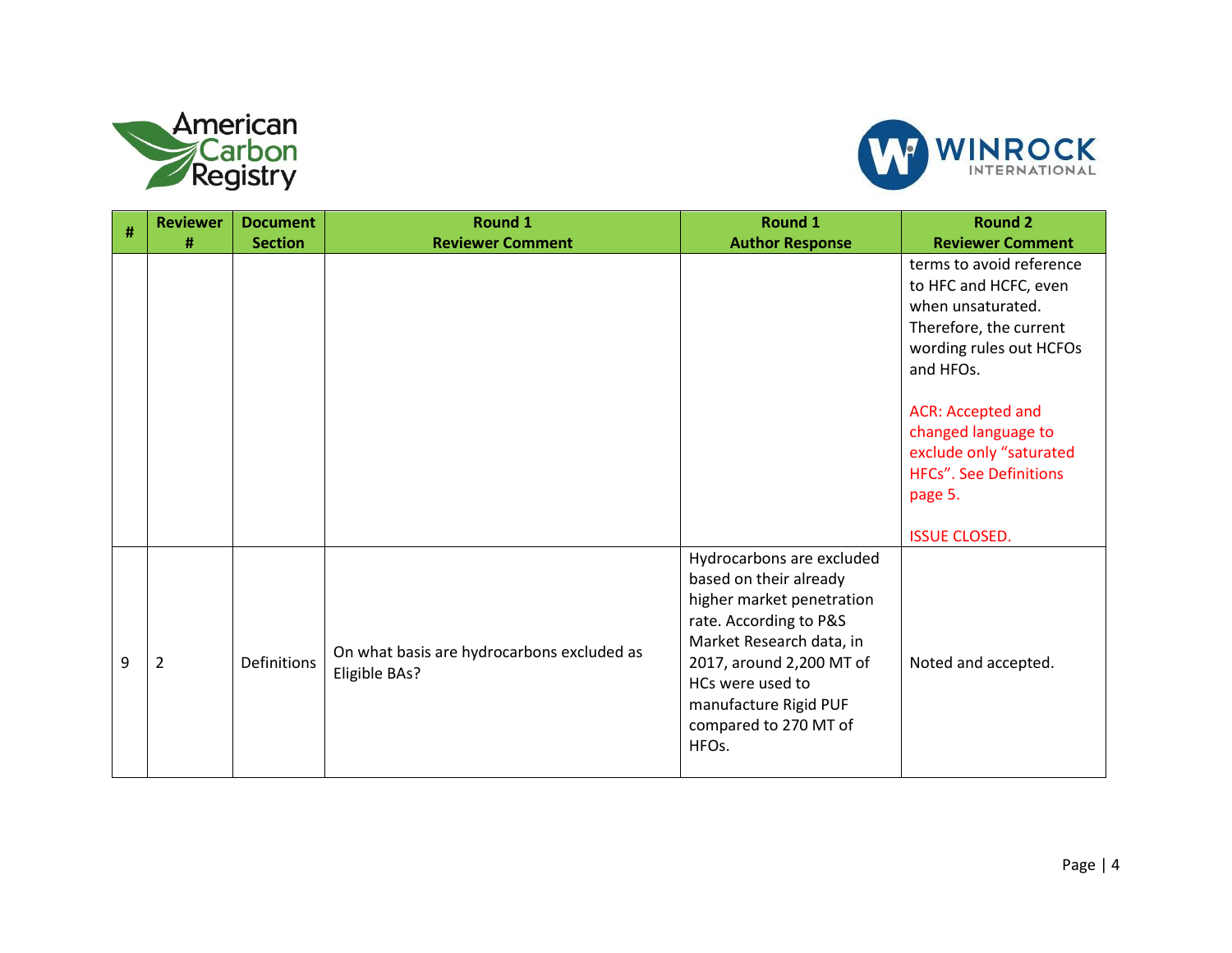



| # | <b>Reviewer</b> | <b>Document</b> | <b>Round 1</b>                             | <b>Round 1</b>            | <b>Round 2</b>                |
|---|-----------------|-----------------|--------------------------------------------|---------------------------|-------------------------------|
|   | #               | <b>Section</b>  | <b>Reviewer Comment</b>                    | <b>Author Response</b>    | <b>Reviewer Comment</b>       |
|   |                 |                 |                                            |                           | terms to avoid reference      |
|   |                 |                 |                                            |                           | to HFC and HCFC, even         |
|   |                 |                 |                                            |                           | when unsaturated.             |
|   |                 |                 |                                            |                           | Therefore, the current        |
|   |                 |                 |                                            |                           | wording rules out HCFOs       |
|   |                 |                 |                                            |                           | and HFOs.                     |
|   |                 |                 |                                            |                           |                               |
|   |                 |                 |                                            |                           | ACR: Accepted and             |
|   |                 |                 |                                            |                           | changed language to           |
|   |                 |                 |                                            |                           | exclude only "saturated       |
|   |                 |                 |                                            |                           | <b>HFCs". See Definitions</b> |
|   |                 |                 |                                            |                           | page 5.                       |
|   |                 |                 |                                            |                           |                               |
|   |                 |                 |                                            |                           | <b>ISSUE CLOSED.</b>          |
|   |                 |                 |                                            | Hydrocarbons are excluded |                               |
|   |                 |                 |                                            | based on their already    |                               |
|   |                 |                 |                                            | higher market penetration |                               |
|   |                 |                 |                                            | rate. According to P&S    |                               |
|   |                 |                 | On what basis are hydrocarbons excluded as | Market Research data, in  |                               |
| 9 | $\overline{2}$  | Definitions     | Eligible BAs?                              | 2017, around 2,200 MT of  | Noted and accepted.           |
|   |                 |                 |                                            | HCs were used to          |                               |
|   |                 |                 |                                            | manufacture Rigid PUF     |                               |
|   |                 |                 |                                            | compared to 270 MT of     |                               |
|   |                 |                 |                                            | HFOs.                     |                               |
|   |                 |                 |                                            |                           |                               |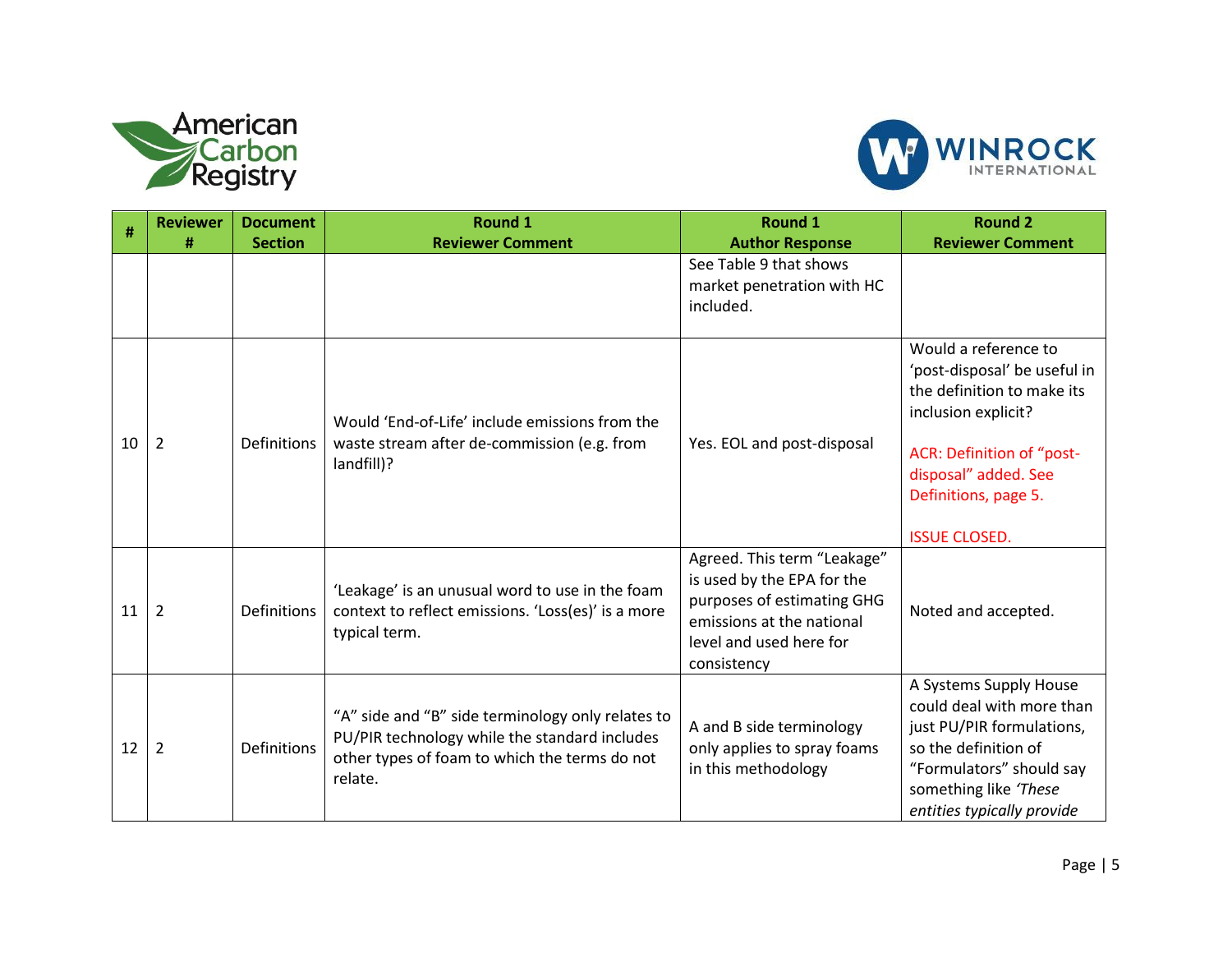



| #  | <b>Reviewer</b> | <b>Document</b>    | <b>Round 1</b>                                                                                                                                                 | Round 1                                                                                                                                                        | <b>Round 2</b>                                                                                                                                                                                                 |
|----|-----------------|--------------------|----------------------------------------------------------------------------------------------------------------------------------------------------------------|----------------------------------------------------------------------------------------------------------------------------------------------------------------|----------------------------------------------------------------------------------------------------------------------------------------------------------------------------------------------------------------|
|    | #               | <b>Section</b>     | <b>Reviewer Comment</b>                                                                                                                                        | <b>Author Response</b><br>See Table 9 that shows<br>market penetration with HC<br>included.                                                                    | <b>Reviewer Comment</b>                                                                                                                                                                                        |
| 10 | $\overline{2}$  | <b>Definitions</b> | Would 'End-of-Life' include emissions from the<br>waste stream after de-commission (e.g. from<br>landfill)?                                                    | Yes. EOL and post-disposal                                                                                                                                     | Would a reference to<br>'post-disposal' be useful in<br>the definition to make its<br>inclusion explicit?<br>ACR: Definition of "post-<br>disposal" added. See<br>Definitions, page 5.<br><b>ISSUE CLOSED.</b> |
| 11 | $\overline{2}$  | Definitions        | 'Leakage' is an unusual word to use in the foam<br>context to reflect emissions. 'Loss(es)' is a more<br>typical term.                                         | Agreed. This term "Leakage"<br>is used by the EPA for the<br>purposes of estimating GHG<br>emissions at the national<br>level and used here for<br>consistency | Noted and accepted.                                                                                                                                                                                            |
| 12 | $\overline{2}$  | Definitions        | "A" side and "B" side terminology only relates to<br>PU/PIR technology while the standard includes<br>other types of foam to which the terms do not<br>relate. | A and B side terminology<br>only applies to spray foams<br>in this methodology                                                                                 | A Systems Supply House<br>could deal with more than<br>just PU/PIR formulations,<br>so the definition of<br>"Formulators" should say<br>something like 'These<br>entities typically provide                    |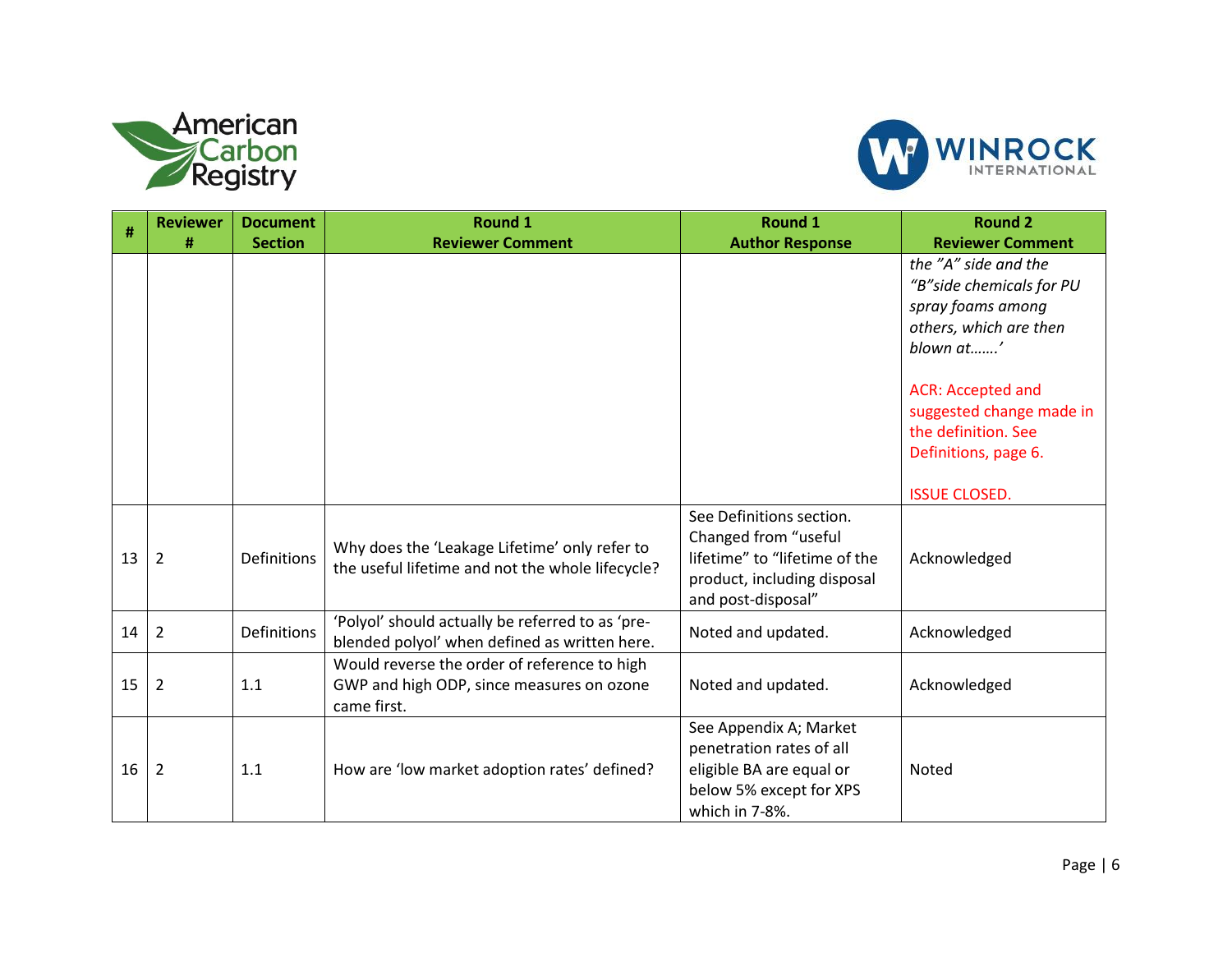



|    | <b>Reviewer</b> | <b>Document</b>    | <b>Round 1</b>                                                                                           | <b>Round 1</b>                                                                                                                         | <b>Round 2</b>                                                                                                                                                                                                       |
|----|-----------------|--------------------|----------------------------------------------------------------------------------------------------------|----------------------------------------------------------------------------------------------------------------------------------------|----------------------------------------------------------------------------------------------------------------------------------------------------------------------------------------------------------------------|
| #  | #               | <b>Section</b>     | <b>Reviewer Comment</b>                                                                                  | <b>Author Response</b>                                                                                                                 | <b>Reviewer Comment</b>                                                                                                                                                                                              |
|    |                 |                    |                                                                                                          |                                                                                                                                        | the "A" side and the<br>"B" side chemicals for PU<br>spray foams among<br>others, which are then<br>blown at'<br><b>ACR: Accepted and</b><br>suggested change made in<br>the definition. See<br>Definitions, page 6. |
|    |                 |                    |                                                                                                          |                                                                                                                                        | <b>ISSUE CLOSED.</b>                                                                                                                                                                                                 |
| 13 | $\overline{2}$  | Definitions        | Why does the 'Leakage Lifetime' only refer to<br>the useful lifetime and not the whole lifecycle?        | See Definitions section.<br>Changed from "useful<br>lifetime" to "lifetime of the<br>product, including disposal<br>and post-disposal" | Acknowledged                                                                                                                                                                                                         |
| 14 | $\overline{2}$  | <b>Definitions</b> | 'Polyol' should actually be referred to as 'pre-<br>blended polyol' when defined as written here.        | Noted and updated.                                                                                                                     | Acknowledged                                                                                                                                                                                                         |
| 15 | $\overline{2}$  | 1.1                | Would reverse the order of reference to high<br>GWP and high ODP, since measures on ozone<br>came first. | Noted and updated.                                                                                                                     | Acknowledged                                                                                                                                                                                                         |
| 16 | $\overline{2}$  | 1.1                | How are 'low market adoption rates' defined?                                                             | See Appendix A; Market<br>penetration rates of all<br>eligible BA are equal or<br>below 5% except for XPS<br>which in 7-8%.            | <b>Noted</b>                                                                                                                                                                                                         |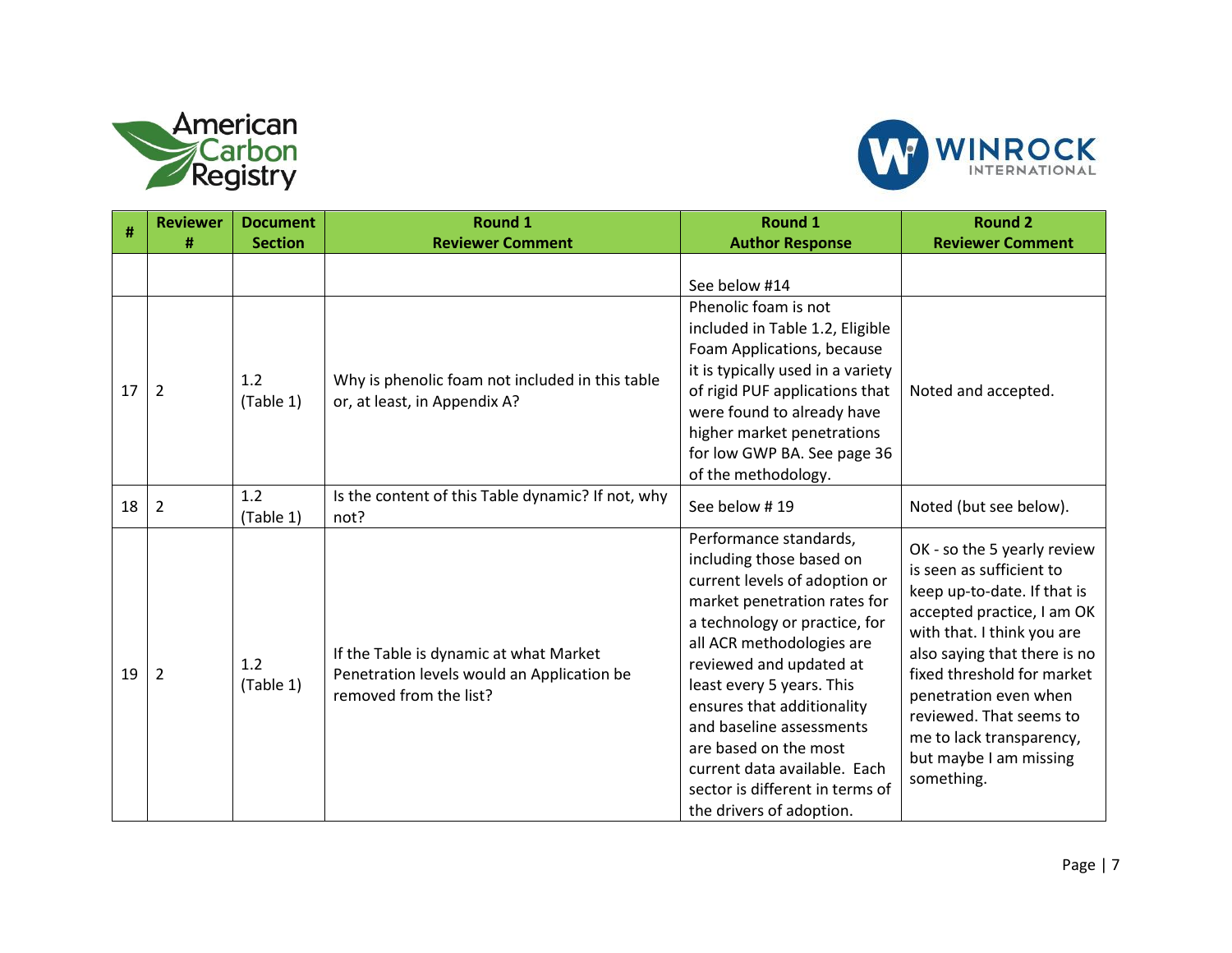



| #  | <b>Reviewer</b> | <b>Document</b>  | <b>Round 1</b>                                                                                                 | <b>Round 1</b>                                                                                                                                                                                                                                                                                                                                                                                                              | <b>Round 2</b>                                                                                                                                                                                                                                                                                                                           |
|----|-----------------|------------------|----------------------------------------------------------------------------------------------------------------|-----------------------------------------------------------------------------------------------------------------------------------------------------------------------------------------------------------------------------------------------------------------------------------------------------------------------------------------------------------------------------------------------------------------------------|------------------------------------------------------------------------------------------------------------------------------------------------------------------------------------------------------------------------------------------------------------------------------------------------------------------------------------------|
|    | #               | <b>Section</b>   | <b>Reviewer Comment</b>                                                                                        | <b>Author Response</b>                                                                                                                                                                                                                                                                                                                                                                                                      | <b>Reviewer Comment</b>                                                                                                                                                                                                                                                                                                                  |
| 17 | $\overline{2}$  | 1.2<br>(Table 1) | Why is phenolic foam not included in this table<br>or, at least, in Appendix A?                                | See below #14<br>Phenolic foam is not<br>included in Table 1.2, Eligible<br>Foam Applications, because<br>it is typically used in a variety<br>of rigid PUF applications that<br>were found to already have<br>higher market penetrations<br>for low GWP BA. See page 36<br>of the methodology.                                                                                                                             | Noted and accepted.                                                                                                                                                                                                                                                                                                                      |
| 18 | $\overline{2}$  | 1.2<br>(Table 1) | Is the content of this Table dynamic? If not, why<br>not?                                                      | See below #19                                                                                                                                                                                                                                                                                                                                                                                                               | Noted (but see below).                                                                                                                                                                                                                                                                                                                   |
| 19 | 2               | 1.2<br>(Table 1) | If the Table is dynamic at what Market<br>Penetration levels would an Application be<br>removed from the list? | Performance standards,<br>including those based on<br>current levels of adoption or<br>market penetration rates for<br>a technology or practice, for<br>all ACR methodologies are<br>reviewed and updated at<br>least every 5 years. This<br>ensures that additionality<br>and baseline assessments<br>are based on the most<br>current data available. Each<br>sector is different in terms of<br>the drivers of adoption. | OK - so the 5 yearly review<br>is seen as sufficient to<br>keep up-to-date. If that is<br>accepted practice, I am OK<br>with that. I think you are<br>also saying that there is no<br>fixed threshold for market<br>penetration even when<br>reviewed. That seems to<br>me to lack transparency,<br>but maybe I am missing<br>something. |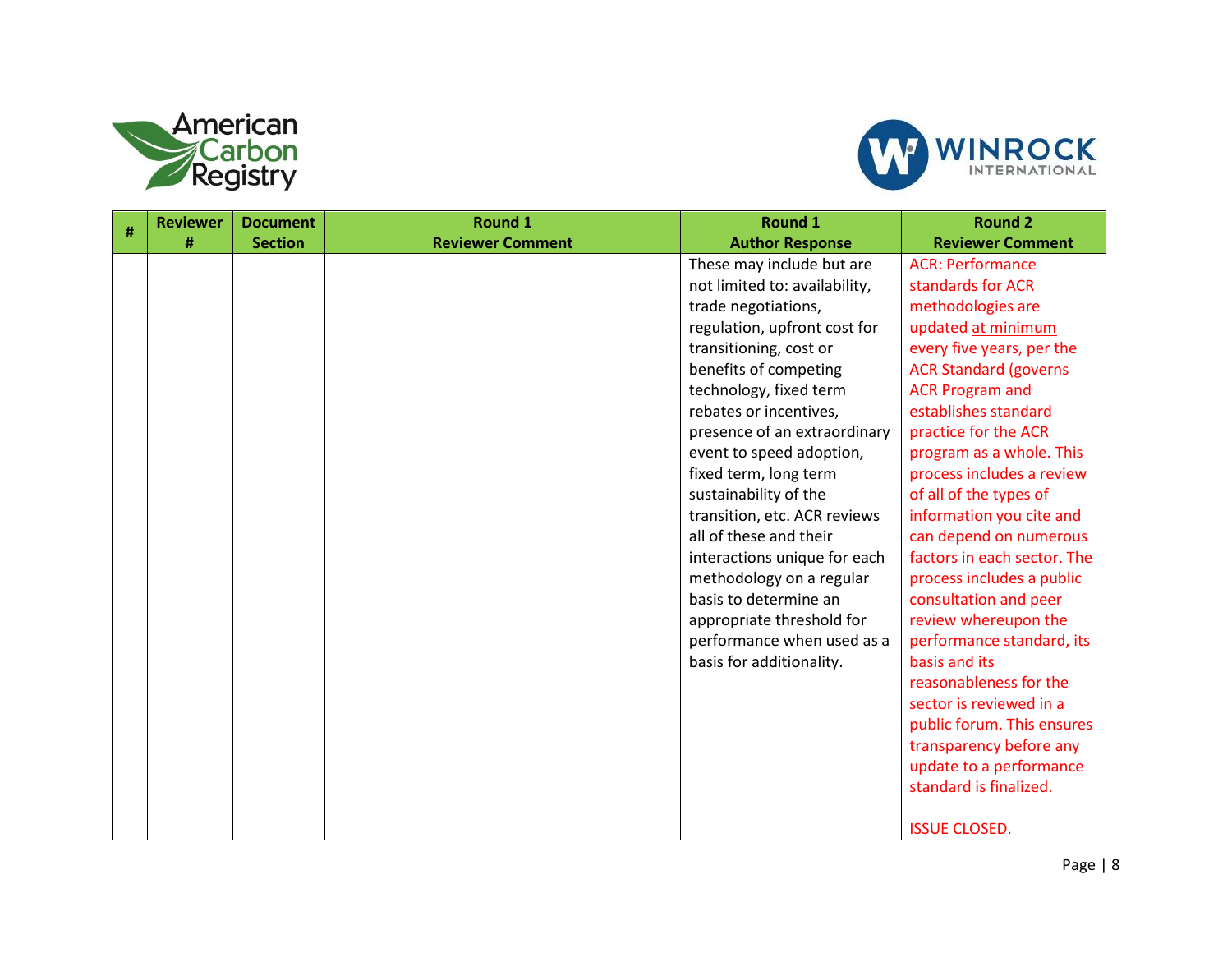



| # | <b>Reviewer</b> | <b>Document</b> | <b>Round 1</b>          | Round 1                       | <b>Round 2</b>               |
|---|-----------------|-----------------|-------------------------|-------------------------------|------------------------------|
|   | #               | <b>Section</b>  | <b>Reviewer Comment</b> | <b>Author Response</b>        | <b>Reviewer Comment</b>      |
|   |                 |                 |                         | These may include but are     | <b>ACR: Performance</b>      |
|   |                 |                 |                         | not limited to: availability, | standards for ACR            |
|   |                 |                 |                         | trade negotiations,           | methodologies are            |
|   |                 |                 |                         | regulation, upfront cost for  | updated at minimum           |
|   |                 |                 |                         | transitioning, cost or        | every five years, per the    |
|   |                 |                 |                         | benefits of competing         | <b>ACR Standard (governs</b> |
|   |                 |                 |                         | technology, fixed term        | <b>ACR Program and</b>       |
|   |                 |                 |                         | rebates or incentives,        | establishes standard         |
|   |                 |                 |                         | presence of an extraordinary  | practice for the ACR         |
|   |                 |                 |                         | event to speed adoption,      | program as a whole. This     |
|   |                 |                 |                         | fixed term, long term         | process includes a review    |
|   |                 |                 |                         | sustainability of the         | of all of the types of       |
|   |                 |                 |                         | transition, etc. ACR reviews  | information you cite and     |
|   |                 |                 |                         | all of these and their        | can depend on numerous       |
|   |                 |                 |                         | interactions unique for each  | factors in each sector. The  |
|   |                 |                 |                         | methodology on a regular      | process includes a public    |
|   |                 |                 |                         | basis to determine an         | consultation and peer        |
|   |                 |                 |                         | appropriate threshold for     | review whereupon the         |
|   |                 |                 |                         | performance when used as a    | performance standard, its    |
|   |                 |                 |                         | basis for additionality.      | basis and its                |
|   |                 |                 |                         |                               | reasonableness for the       |
|   |                 |                 |                         |                               | sector is reviewed in a      |
|   |                 |                 |                         |                               | public forum. This ensures   |
|   |                 |                 |                         |                               | transparency before any      |
|   |                 |                 |                         |                               | update to a performance      |
|   |                 |                 |                         |                               | standard is finalized.       |
|   |                 |                 |                         |                               |                              |
|   |                 |                 |                         |                               | <b>ISSUE CLOSED.</b>         |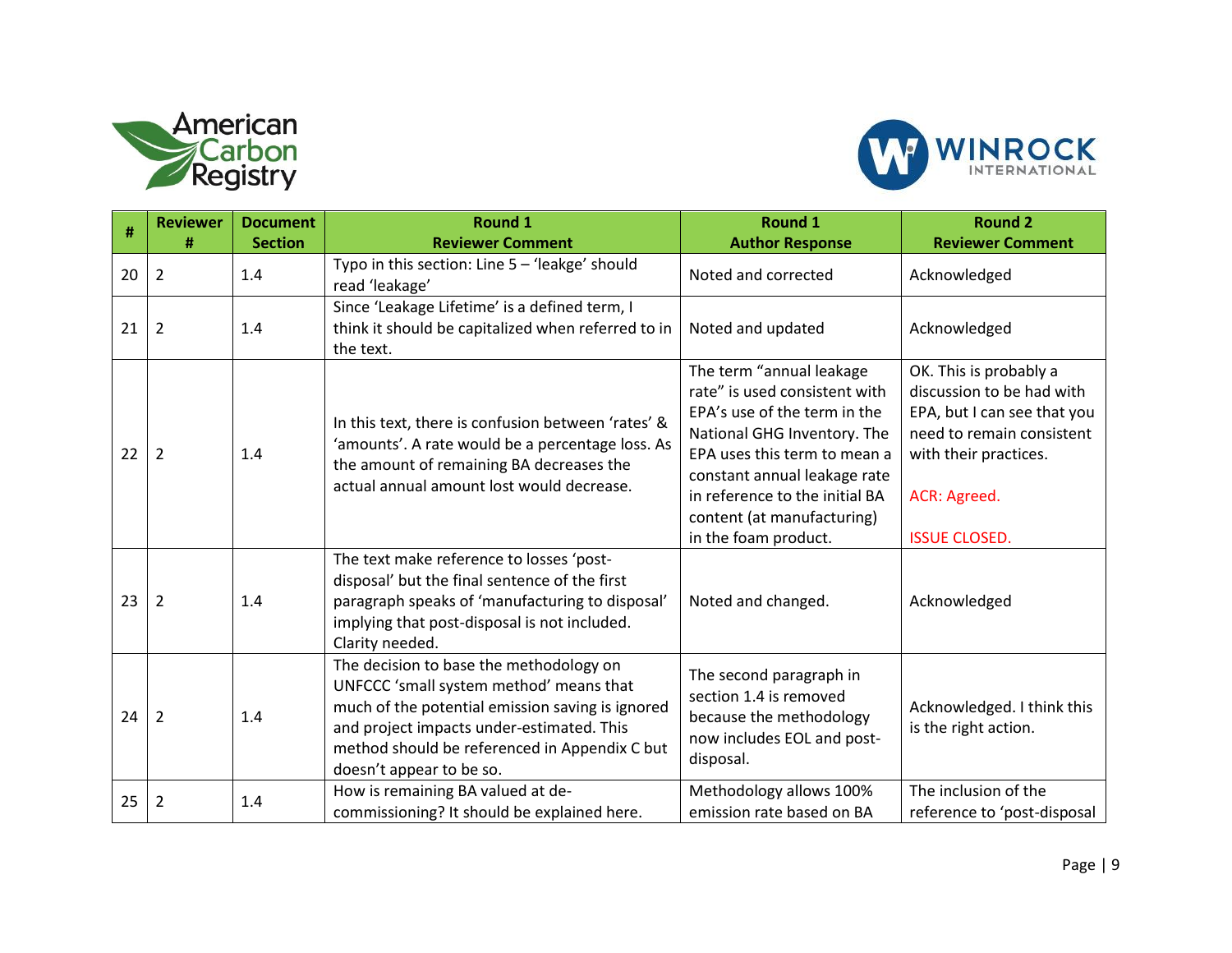



|    | <b>Reviewer</b> | <b>Document</b> | <b>Round 1</b>                                                                                                                                                                                                                                                   | <b>Round 1</b>                                                                                                                                                                                                                                                                   | <b>Round 2</b>                                                                                                                                                                   |
|----|-----------------|-----------------|------------------------------------------------------------------------------------------------------------------------------------------------------------------------------------------------------------------------------------------------------------------|----------------------------------------------------------------------------------------------------------------------------------------------------------------------------------------------------------------------------------------------------------------------------------|----------------------------------------------------------------------------------------------------------------------------------------------------------------------------------|
| #  | #               | <b>Section</b>  | <b>Reviewer Comment</b>                                                                                                                                                                                                                                          | <b>Author Response</b>                                                                                                                                                                                                                                                           | <b>Reviewer Comment</b>                                                                                                                                                          |
| 20 | $\overline{2}$  | 1.4             | Typo in this section: Line 5 - 'leakge' should<br>read 'leakage'                                                                                                                                                                                                 | Noted and corrected                                                                                                                                                                                                                                                              | Acknowledged                                                                                                                                                                     |
| 21 | 2               | 1.4             | Since 'Leakage Lifetime' is a defined term, I<br>think it should be capitalized when referred to in<br>the text.                                                                                                                                                 | Noted and updated                                                                                                                                                                                                                                                                | Acknowledged                                                                                                                                                                     |
| 22 | $\overline{2}$  | 1.4             | In this text, there is confusion between 'rates' &<br>'amounts'. A rate would be a percentage loss. As<br>the amount of remaining BA decreases the<br>actual annual amount lost would decrease.                                                                  | The term "annual leakage<br>rate" is used consistent with<br>EPA's use of the term in the<br>National GHG Inventory. The<br>EPA uses this term to mean a<br>constant annual leakage rate<br>in reference to the initial BA<br>content (at manufacturing)<br>in the foam product. | OK. This is probably a<br>discussion to be had with<br>EPA, but I can see that you<br>need to remain consistent<br>with their practices.<br>ACR: Agreed.<br><b>ISSUE CLOSED.</b> |
| 23 | 2               | 1.4             | The text make reference to losses 'post-<br>disposal' but the final sentence of the first<br>paragraph speaks of 'manufacturing to disposal'<br>implying that post-disposal is not included.<br>Clarity needed.                                                  | Noted and changed.                                                                                                                                                                                                                                                               | Acknowledged                                                                                                                                                                     |
| 24 | $\overline{2}$  | 1.4             | The decision to base the methodology on<br>UNFCCC 'small system method' means that<br>much of the potential emission saving is ignored<br>and project impacts under-estimated. This<br>method should be referenced in Appendix C but<br>doesn't appear to be so. | The second paragraph in<br>section 1.4 is removed<br>because the methodology<br>now includes EOL and post-<br>disposal.                                                                                                                                                          | Acknowledged. I think this<br>is the right action.                                                                                                                               |
| 25 | 2               | 1.4             | How is remaining BA valued at de-<br>commissioning? It should be explained here.                                                                                                                                                                                 | Methodology allows 100%<br>emission rate based on BA                                                                                                                                                                                                                             | The inclusion of the<br>reference to 'post-disposal                                                                                                                              |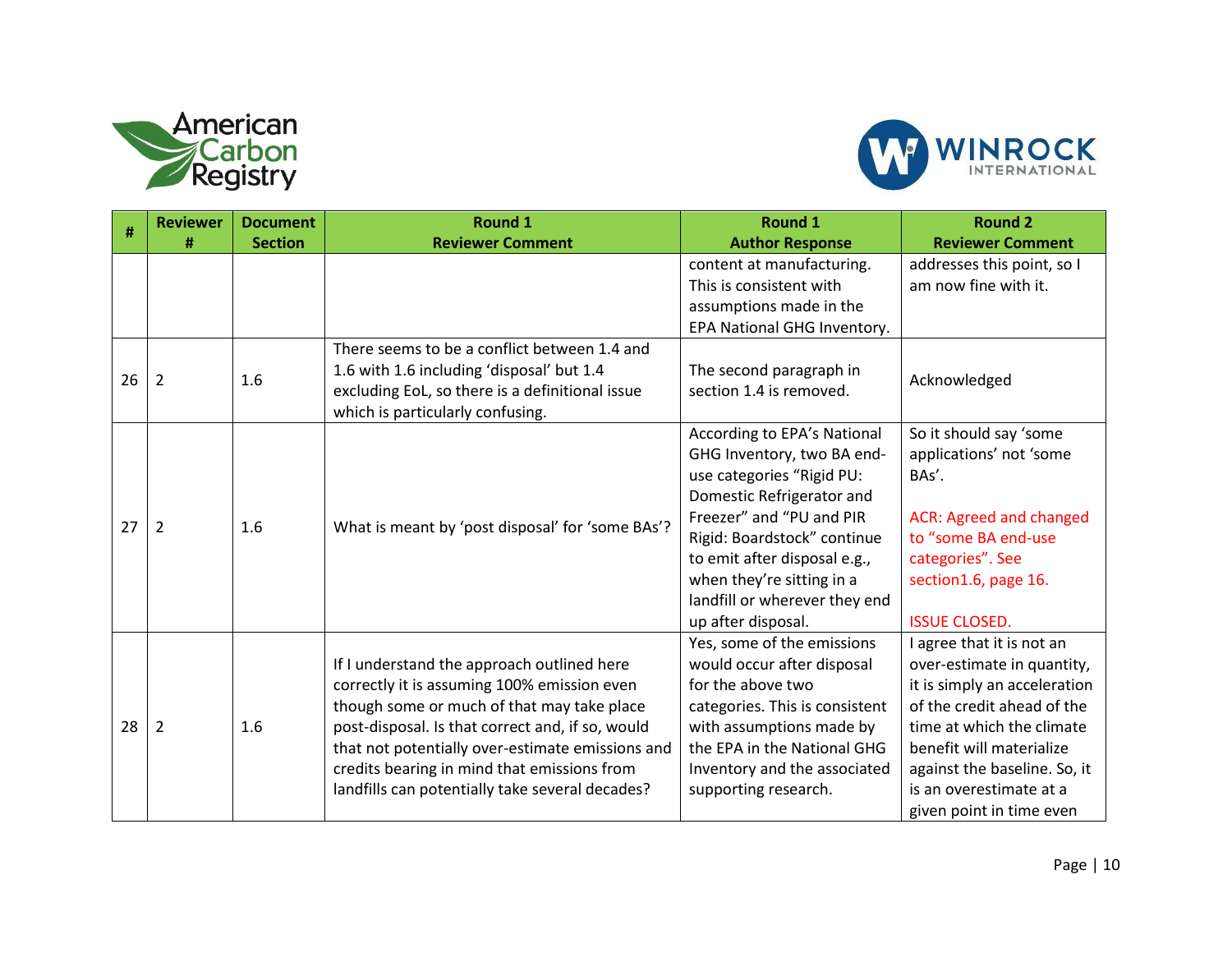



|    | <b>Reviewer</b> | <b>Document</b> | <b>Round 1</b>                                                                                                                                                                                                                                                                                                                                    | <b>Round 1</b>                                                                                                                                                                                                                                                                                     | <b>Round 2</b>                                                                                                                                                                                                                                                        |
|----|-----------------|-----------------|---------------------------------------------------------------------------------------------------------------------------------------------------------------------------------------------------------------------------------------------------------------------------------------------------------------------------------------------------|----------------------------------------------------------------------------------------------------------------------------------------------------------------------------------------------------------------------------------------------------------------------------------------------------|-----------------------------------------------------------------------------------------------------------------------------------------------------------------------------------------------------------------------------------------------------------------------|
| #  | #               | <b>Section</b>  | <b>Reviewer Comment</b>                                                                                                                                                                                                                                                                                                                           | <b>Author Response</b>                                                                                                                                                                                                                                                                             | <b>Reviewer Comment</b>                                                                                                                                                                                                                                               |
|    |                 |                 |                                                                                                                                                                                                                                                                                                                                                   | content at manufacturing.<br>This is consistent with<br>assumptions made in the<br>EPA National GHG Inventory.                                                                                                                                                                                     | addresses this point, so I<br>am now fine with it.                                                                                                                                                                                                                    |
| 26 | $\overline{2}$  | 1.6             | There seems to be a conflict between 1.4 and<br>1.6 with 1.6 including 'disposal' but 1.4<br>excluding EoL, so there is a definitional issue<br>which is particularly confusing.                                                                                                                                                                  | The second paragraph in<br>section 1.4 is removed.                                                                                                                                                                                                                                                 | Acknowledged                                                                                                                                                                                                                                                          |
| 27 | $\overline{2}$  | 1.6             | What is meant by 'post disposal' for 'some BAs'?                                                                                                                                                                                                                                                                                                  | According to EPA's National<br>GHG Inventory, two BA end-<br>use categories "Rigid PU:<br>Domestic Refrigerator and<br>Freezer" and "PU and PIR<br>Rigid: Boardstock" continue<br>to emit after disposal e.g.,<br>when they're sitting in a<br>landfill or wherever they end<br>up after disposal. | So it should say 'some<br>applications' not 'some<br>BAs'.<br><b>ACR: Agreed and changed</b><br>to "some BA end-use<br>categories". See<br>section1.6, page 16.<br><b>ISSUE CLOSED.</b>                                                                               |
| 28 | $\overline{2}$  | 1.6             | If I understand the approach outlined here<br>correctly it is assuming 100% emission even<br>though some or much of that may take place<br>post-disposal. Is that correct and, if so, would<br>that not potentially over-estimate emissions and<br>credits bearing in mind that emissions from<br>landfills can potentially take several decades? | Yes, some of the emissions<br>would occur after disposal<br>for the above two<br>categories. This is consistent<br>with assumptions made by<br>the EPA in the National GHG<br>Inventory and the associated<br>supporting research.                                                                 | I agree that it is not an<br>over-estimate in quantity,<br>it is simply an acceleration<br>of the credit ahead of the<br>time at which the climate<br>benefit will materialize<br>against the baseline. So, it<br>is an overestimate at a<br>given point in time even |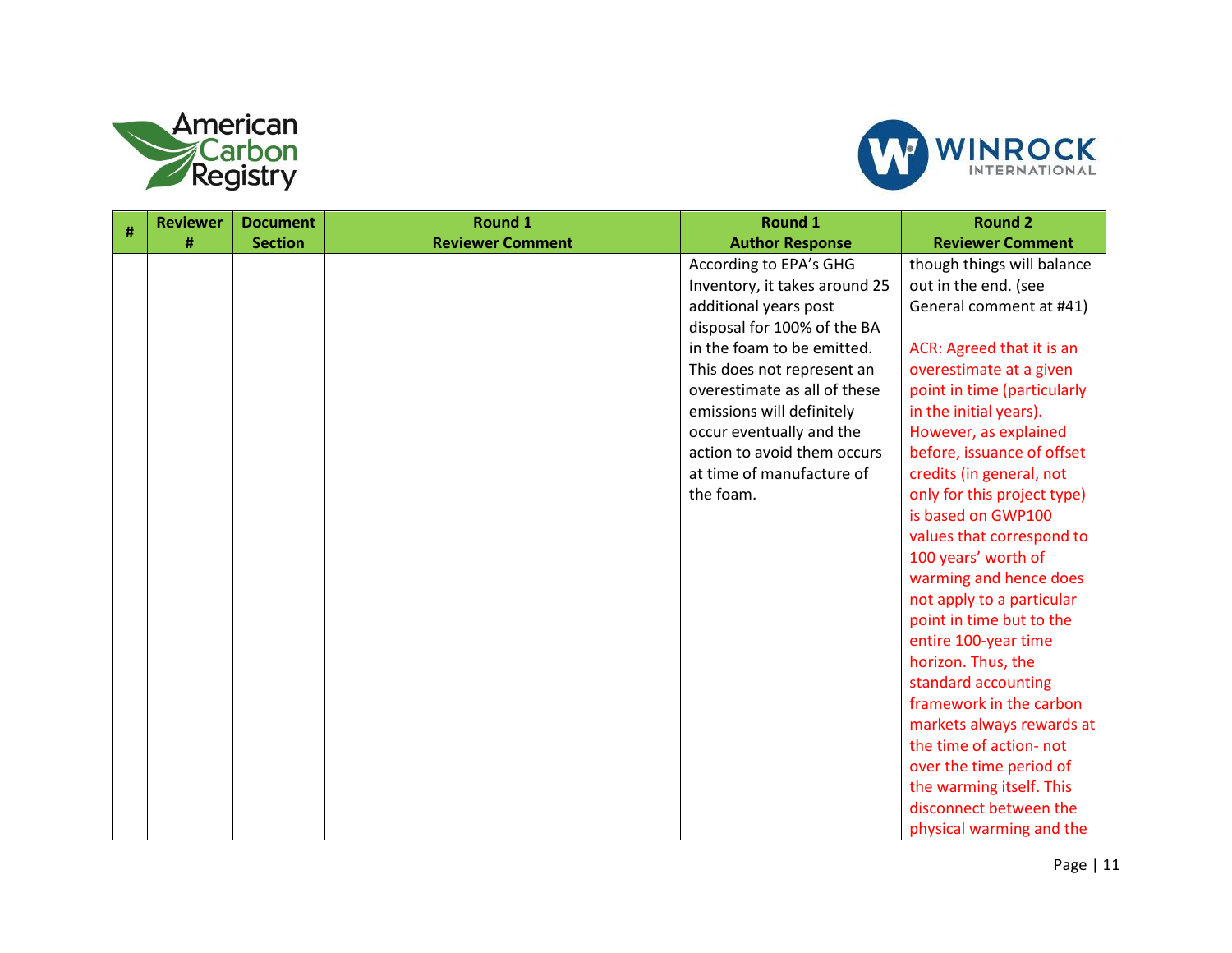



| # | <b>Reviewer</b> | <b>Document</b> | <b>Round 1</b>          | Round 1                       | <b>Round 2</b>              |
|---|-----------------|-----------------|-------------------------|-------------------------------|-----------------------------|
|   | #               | <b>Section</b>  | <b>Reviewer Comment</b> | <b>Author Response</b>        | <b>Reviewer Comment</b>     |
|   |                 |                 |                         | According to EPA's GHG        | though things will balance  |
|   |                 |                 |                         | Inventory, it takes around 25 | out in the end. (see        |
|   |                 |                 |                         | additional years post         | General comment at #41)     |
|   |                 |                 |                         | disposal for 100% of the BA   |                             |
|   |                 |                 |                         | in the foam to be emitted.    | ACR: Agreed that it is an   |
|   |                 |                 |                         | This does not represent an    | overestimate at a given     |
|   |                 |                 |                         | overestimate as all of these  | point in time (particularly |
|   |                 |                 |                         | emissions will definitely     | in the initial years).      |
|   |                 |                 |                         | occur eventually and the      | However, as explained       |
|   |                 |                 |                         | action to avoid them occurs   | before, issuance of offset  |
|   |                 |                 |                         | at time of manufacture of     | credits (in general, not    |
|   |                 |                 |                         | the foam.                     | only for this project type) |
|   |                 |                 |                         |                               | is based on GWP100          |
|   |                 |                 |                         |                               | values that correspond to   |
|   |                 |                 |                         |                               | 100 years' worth of         |
|   |                 |                 |                         |                               | warming and hence does      |
|   |                 |                 |                         |                               | not apply to a particular   |
|   |                 |                 |                         |                               | point in time but to the    |
|   |                 |                 |                         |                               | entire 100-year time        |
|   |                 |                 |                         |                               | horizon. Thus, the          |
|   |                 |                 |                         |                               | standard accounting         |
|   |                 |                 |                         |                               | framework in the carbon     |
|   |                 |                 |                         |                               | markets always rewards at   |
|   |                 |                 |                         |                               | the time of action- not     |
|   |                 |                 |                         |                               | over the time period of     |
|   |                 |                 |                         |                               | the warming itself. This    |
|   |                 |                 |                         |                               | disconnect between the      |
|   |                 |                 |                         |                               | physical warming and the    |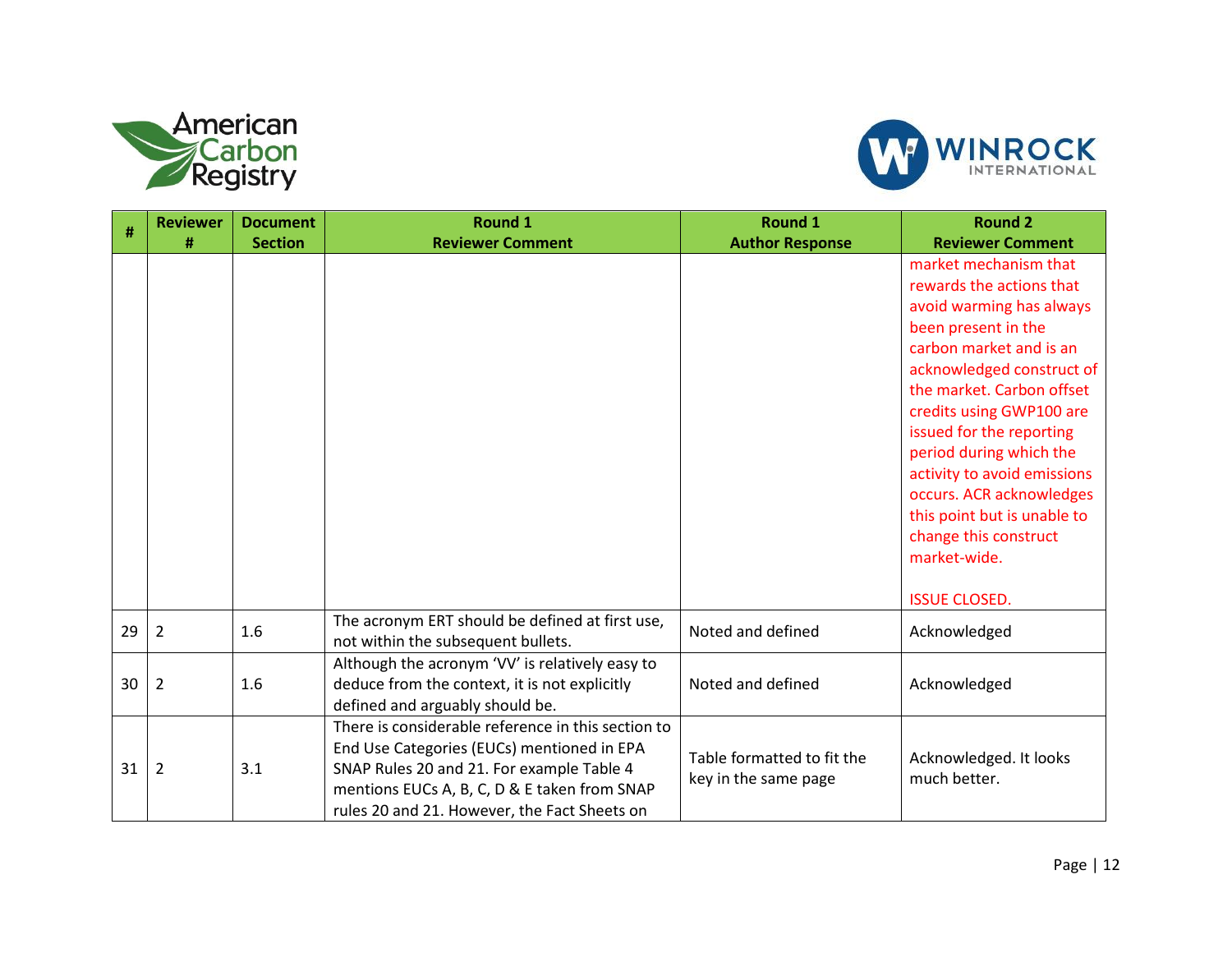



| #  | <b>Reviewer</b> | <b>Document</b> | <b>Round 1</b>                                                                                                                                                                                                                                | <b>Round 1</b>                                     | <b>Round 2</b>                                                                                                                                                                                                                                                                                                                                                                                                                          |
|----|-----------------|-----------------|-----------------------------------------------------------------------------------------------------------------------------------------------------------------------------------------------------------------------------------------------|----------------------------------------------------|-----------------------------------------------------------------------------------------------------------------------------------------------------------------------------------------------------------------------------------------------------------------------------------------------------------------------------------------------------------------------------------------------------------------------------------------|
|    | #               | <b>Section</b>  | <b>Reviewer Comment</b>                                                                                                                                                                                                                       | <b>Author Response</b>                             | <b>Reviewer Comment</b>                                                                                                                                                                                                                                                                                                                                                                                                                 |
|    |                 |                 |                                                                                                                                                                                                                                               |                                                    | market mechanism that<br>rewards the actions that<br>avoid warming has always<br>been present in the<br>carbon market and is an<br>acknowledged construct of<br>the market. Carbon offset<br>credits using GWP100 are<br>issued for the reporting<br>period during which the<br>activity to avoid emissions<br>occurs. ACR acknowledges<br>this point but is unable to<br>change this construct<br>market-wide.<br><b>ISSUE CLOSED.</b> |
| 29 | $\overline{2}$  | 1.6             | The acronym ERT should be defined at first use,<br>not within the subsequent bullets.                                                                                                                                                         | Noted and defined                                  | Acknowledged                                                                                                                                                                                                                                                                                                                                                                                                                            |
| 30 | 2               | 1.6             | Although the acronym 'VV' is relatively easy to<br>deduce from the context, it is not explicitly<br>defined and arguably should be.                                                                                                           | Noted and defined                                  | Acknowledged                                                                                                                                                                                                                                                                                                                                                                                                                            |
| 31 | $\overline{2}$  | 3.1             | There is considerable reference in this section to<br>End Use Categories (EUCs) mentioned in EPA<br>SNAP Rules 20 and 21. For example Table 4<br>mentions EUCs A, B, C, D & E taken from SNAP<br>rules 20 and 21. However, the Fact Sheets on | Table formatted to fit the<br>key in the same page | Acknowledged. It looks<br>much better.                                                                                                                                                                                                                                                                                                                                                                                                  |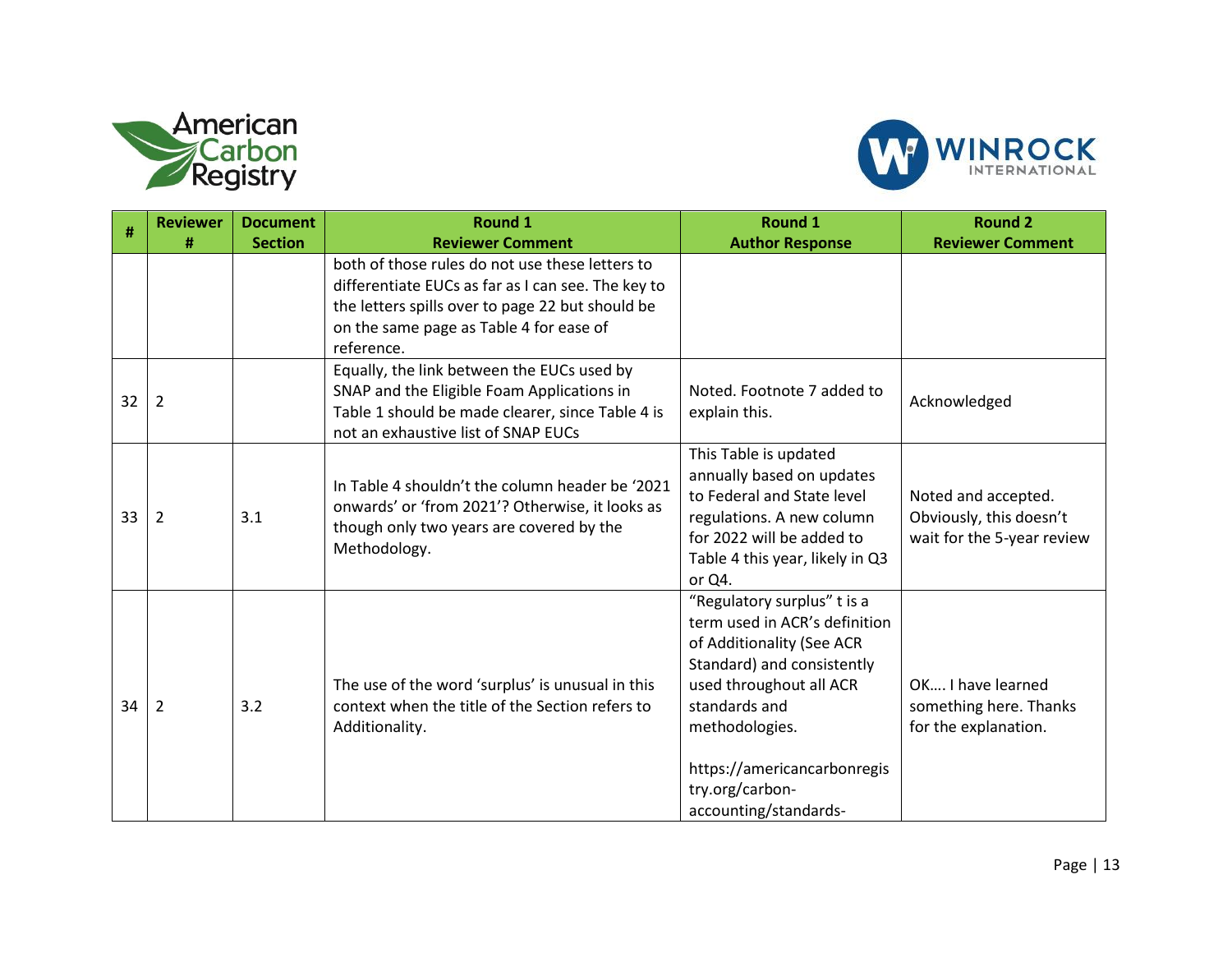



|    | <b>Reviewer</b> | <b>Document</b> | <b>Round 1</b>                                                                                                                                                                                                     | <b>Round 1</b>                                                                                                                                                                                                                                                   | <b>Round 2</b>                                                               |
|----|-----------------|-----------------|--------------------------------------------------------------------------------------------------------------------------------------------------------------------------------------------------------------------|------------------------------------------------------------------------------------------------------------------------------------------------------------------------------------------------------------------------------------------------------------------|------------------------------------------------------------------------------|
| #  | #               | <b>Section</b>  | <b>Reviewer Comment</b>                                                                                                                                                                                            | <b>Author Response</b>                                                                                                                                                                                                                                           | <b>Reviewer Comment</b>                                                      |
|    |                 |                 | both of those rules do not use these letters to<br>differentiate EUCs as far as I can see. The key to<br>the letters spills over to page 22 but should be<br>on the same page as Table 4 for ease of<br>reference. |                                                                                                                                                                                                                                                                  |                                                                              |
| 32 | $\overline{2}$  |                 | Equally, the link between the EUCs used by<br>SNAP and the Eligible Foam Applications in<br>Table 1 should be made clearer, since Table 4 is<br>not an exhaustive list of SNAP EUCs                                | Noted. Footnote 7 added to<br>explain this.                                                                                                                                                                                                                      | Acknowledged                                                                 |
| 33 | $\overline{2}$  | 3.1             | In Table 4 shouldn't the column header be '2021<br>onwards' or 'from 2021'? Otherwise, it looks as<br>though only two years are covered by the<br>Methodology.                                                     | This Table is updated<br>annually based on updates<br>to Federal and State level<br>regulations. A new column<br>for 2022 will be added to<br>Table 4 this year, likely in Q3<br>or Q4.                                                                          | Noted and accepted.<br>Obviously, this doesn't<br>wait for the 5-year review |
| 34 | $\overline{2}$  | 3.2             | The use of the word 'surplus' is unusual in this<br>context when the title of the Section refers to<br>Additionality.                                                                                              | "Regulatory surplus" t is a<br>term used in ACR's definition<br>of Additionality (See ACR<br>Standard) and consistently<br>used throughout all ACR<br>standards and<br>methodologies.<br>https://americancarbonregis<br>try.org/carbon-<br>accounting/standards- | OK I have learned<br>something here. Thanks<br>for the explanation.          |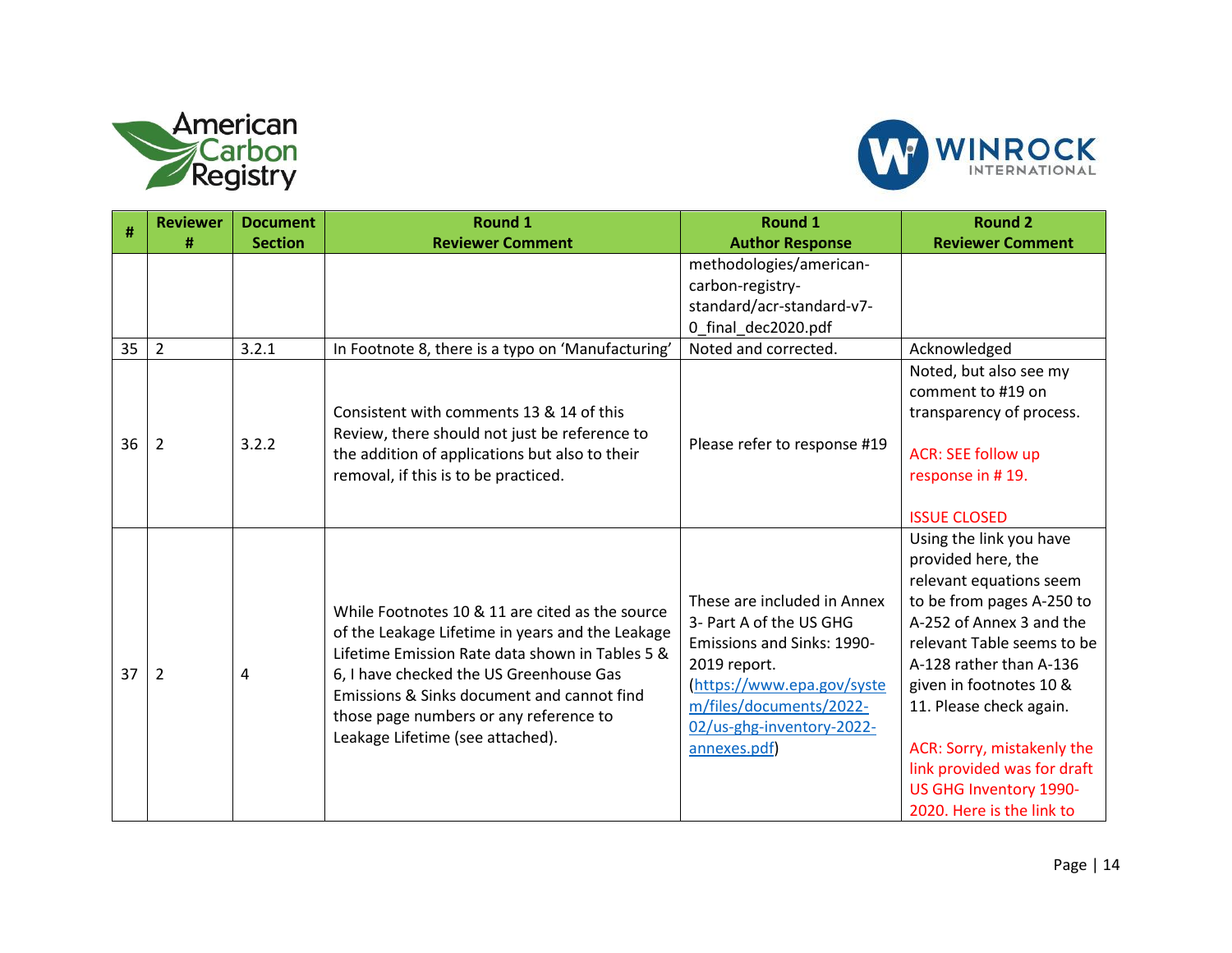



|    | <b>Reviewer</b> | <b>Document</b> | <b>Round 1</b>                                                                                                                                                                                                                                                                                                                | <b>Round 1</b>                                                                                                                                                                                             | <b>Round 2</b>                                                                                                                                                                                                                                                                                                                                                       |
|----|-----------------|-----------------|-------------------------------------------------------------------------------------------------------------------------------------------------------------------------------------------------------------------------------------------------------------------------------------------------------------------------------|------------------------------------------------------------------------------------------------------------------------------------------------------------------------------------------------------------|----------------------------------------------------------------------------------------------------------------------------------------------------------------------------------------------------------------------------------------------------------------------------------------------------------------------------------------------------------------------|
| #  | #               | <b>Section</b>  | <b>Reviewer Comment</b>                                                                                                                                                                                                                                                                                                       | <b>Author Response</b>                                                                                                                                                                                     | <b>Reviewer Comment</b>                                                                                                                                                                                                                                                                                                                                              |
|    |                 |                 |                                                                                                                                                                                                                                                                                                                               | methodologies/american-<br>carbon-registry-<br>standard/acr-standard-v7-<br>0 final dec2020.pdf                                                                                                            |                                                                                                                                                                                                                                                                                                                                                                      |
| 35 | $\overline{2}$  | 3.2.1           | In Footnote 8, there is a typo on 'Manufacturing'                                                                                                                                                                                                                                                                             | Noted and corrected.                                                                                                                                                                                       | Acknowledged                                                                                                                                                                                                                                                                                                                                                         |
| 36 | $\overline{2}$  | 3.2.2           | Consistent with comments 13 & 14 of this<br>Review, there should not just be reference to<br>the addition of applications but also to their<br>removal, if this is to be practiced.                                                                                                                                           | Please refer to response #19                                                                                                                                                                               | Noted, but also see my<br>comment to #19 on<br>transparency of process.<br><b>ACR: SEE follow up</b><br>response in #19.<br><b>ISSUE CLOSED</b>                                                                                                                                                                                                                      |
| 37 | 2               | 4               | While Footnotes 10 & 11 are cited as the source<br>of the Leakage Lifetime in years and the Leakage<br>Lifetime Emission Rate data shown in Tables 5 &<br>6, I have checked the US Greenhouse Gas<br>Emissions & Sinks document and cannot find<br>those page numbers or any reference to<br>Leakage Lifetime (see attached). | These are included in Annex<br>3- Part A of the US GHG<br>Emissions and Sinks: 1990-<br>2019 report.<br>(https://www.epa.gov/syste<br>m/files/documents/2022-<br>02/us-ghg-inventory-2022-<br>annexes.pdf) | Using the link you have<br>provided here, the<br>relevant equations seem<br>to be from pages A-250 to<br>A-252 of Annex 3 and the<br>relevant Table seems to be<br>A-128 rather than A-136<br>given in footnotes 10 &<br>11. Please check again.<br>ACR: Sorry, mistakenly the<br>link provided was for draft<br>US GHG Inventory 1990-<br>2020. Here is the link to |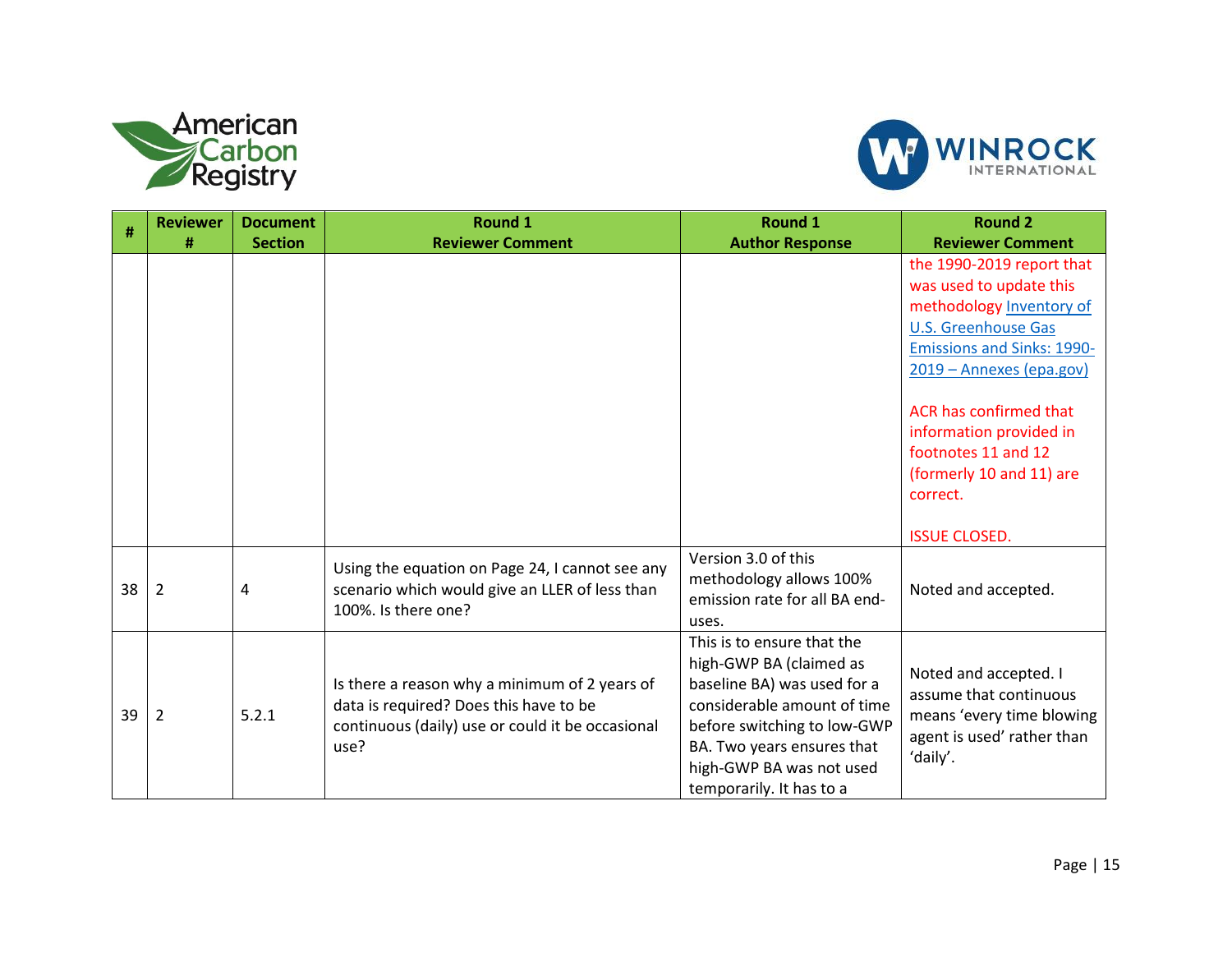



|    | <b>Reviewer</b> | <b>Document</b> | Round 1                                                                                                                                             | <b>Round 1</b>                                                                                                                                                                                                                           | <b>Round 2</b>                                                                                                                                                                                                                                                                                                                 |
|----|-----------------|-----------------|-----------------------------------------------------------------------------------------------------------------------------------------------------|------------------------------------------------------------------------------------------------------------------------------------------------------------------------------------------------------------------------------------------|--------------------------------------------------------------------------------------------------------------------------------------------------------------------------------------------------------------------------------------------------------------------------------------------------------------------------------|
| #  |                 |                 |                                                                                                                                                     |                                                                                                                                                                                                                                          |                                                                                                                                                                                                                                                                                                                                |
|    | #               | <b>Section</b>  | <b>Reviewer Comment</b>                                                                                                                             | <b>Author Response</b>                                                                                                                                                                                                                   | <b>Reviewer Comment</b><br>the 1990-2019 report that<br>was used to update this<br>methodology Inventory of<br><b>U.S. Greenhouse Gas</b><br><b>Emissions and Sinks: 1990-</b><br>2019 - Annexes (epa.gov)<br>ACR has confirmed that<br>information provided in<br>footnotes 11 and 12<br>(formerly 10 and 11) are<br>correct. |
| 38 | 2               | 4               | Using the equation on Page 24, I cannot see any<br>scenario which would give an LLER of less than<br>100%. Is there one?                            | Version 3.0 of this<br>methodology allows 100%<br>emission rate for all BA end-<br>uses.                                                                                                                                                 | <b>ISSUE CLOSED.</b><br>Noted and accepted.                                                                                                                                                                                                                                                                                    |
| 39 | 2               | 5.2.1           | Is there a reason why a minimum of 2 years of<br>data is required? Does this have to be<br>continuous (daily) use or could it be occasional<br>use? | This is to ensure that the<br>high-GWP BA (claimed as<br>baseline BA) was used for a<br>considerable amount of time<br>before switching to low-GWP<br>BA. Two years ensures that<br>high-GWP BA was not used<br>temporarily. It has to a | Noted and accepted. I<br>assume that continuous<br>means 'every time blowing<br>agent is used' rather than<br>'daily'.                                                                                                                                                                                                         |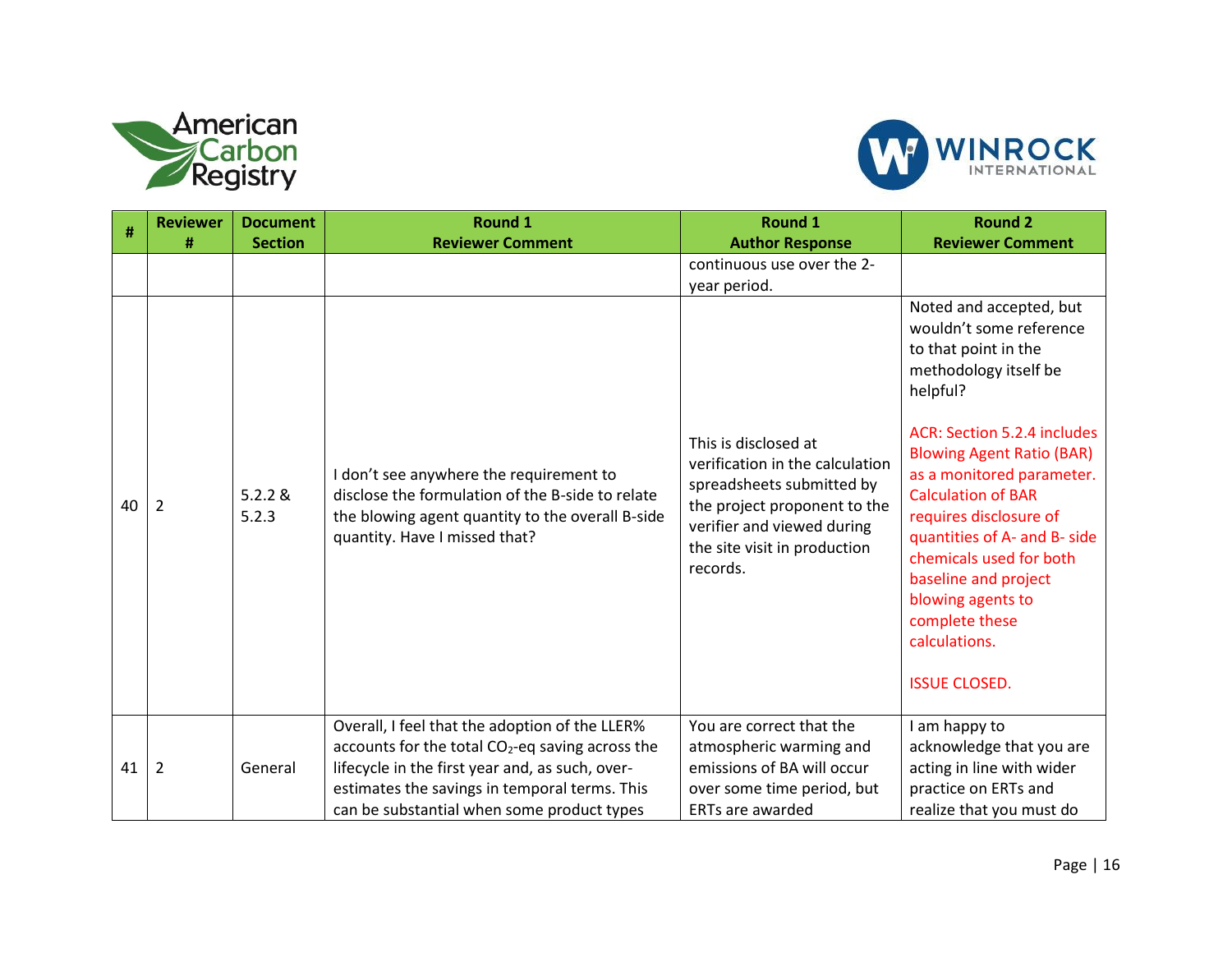



| #  | <b>Reviewer</b><br># | <b>Document</b><br><b>Section</b> | <b>Round 1</b><br><b>Reviewer Comment</b>                                                                                                                                                                                                                        | Round 1                                                                                                                                                                                        | <b>Round 2</b><br><b>Reviewer Comment</b>                                                                                                                                                                                                                                                                                                                                                                                                 |
|----|----------------------|-----------------------------------|------------------------------------------------------------------------------------------------------------------------------------------------------------------------------------------------------------------------------------------------------------------|------------------------------------------------------------------------------------------------------------------------------------------------------------------------------------------------|-------------------------------------------------------------------------------------------------------------------------------------------------------------------------------------------------------------------------------------------------------------------------------------------------------------------------------------------------------------------------------------------------------------------------------------------|
|    |                      |                                   |                                                                                                                                                                                                                                                                  | <b>Author Response</b><br>continuous use over the 2-<br>year period.                                                                                                                           |                                                                                                                                                                                                                                                                                                                                                                                                                                           |
| 40 | 2                    | 5.2.2 &<br>5.2.3                  | I don't see anywhere the requirement to<br>disclose the formulation of the B-side to relate<br>the blowing agent quantity to the overall B-side<br>quantity. Have I missed that?                                                                                 | This is disclosed at<br>verification in the calculation<br>spreadsheets submitted by<br>the project proponent to the<br>verifier and viewed during<br>the site visit in production<br>records. | Noted and accepted, but<br>wouldn't some reference<br>to that point in the<br>methodology itself be<br>helpful?<br>ACR: Section 5.2.4 includes<br><b>Blowing Agent Ratio (BAR)</b><br>as a monitored parameter.<br><b>Calculation of BAR</b><br>requires disclosure of<br>quantities of A- and B- side<br>chemicals used for both<br>baseline and project<br>blowing agents to<br>complete these<br>calculations.<br><b>ISSUE CLOSED.</b> |
| 41 | 2                    | General                           | Overall, I feel that the adoption of the LLER%<br>accounts for the total CO <sub>2</sub> -eq saving across the<br>lifecycle in the first year and, as such, over-<br>estimates the savings in temporal terms. This<br>can be substantial when some product types | You are correct that the<br>atmospheric warming and<br>emissions of BA will occur<br>over some time period, but<br><b>ERTs are awarded</b>                                                     | I am happy to<br>acknowledge that you are<br>acting in line with wider<br>practice on ERTs and<br>realize that you must do                                                                                                                                                                                                                                                                                                                |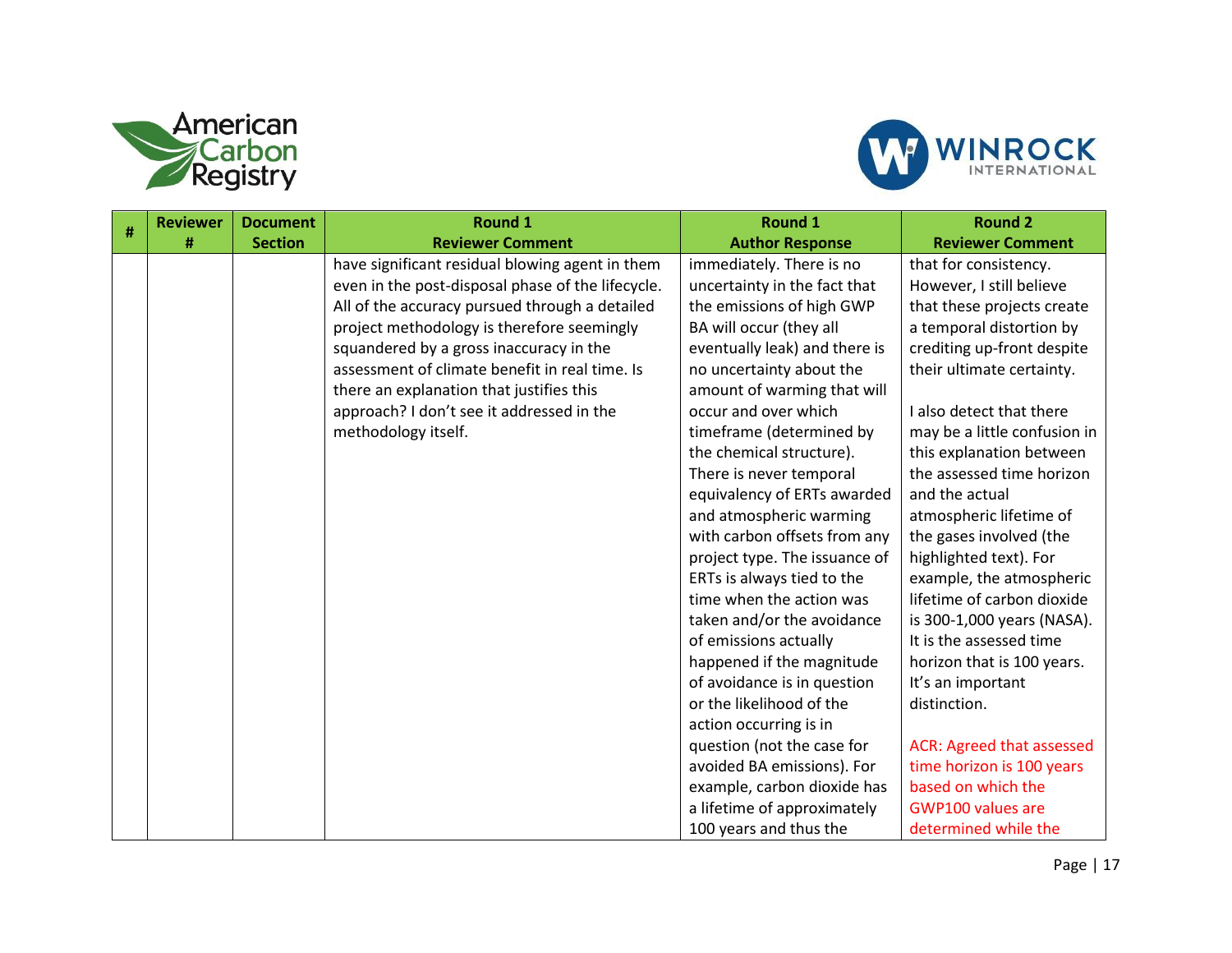



| # | <b>Reviewer</b> | <b>Document</b> | <b>Round 1</b>                                    | <b>Round 1</b>                | <b>Round 2</b>                   |
|---|-----------------|-----------------|---------------------------------------------------|-------------------------------|----------------------------------|
|   | #               | <b>Section</b>  | <b>Reviewer Comment</b>                           | <b>Author Response</b>        | <b>Reviewer Comment</b>          |
|   |                 |                 | have significant residual blowing agent in them   | immediately. There is no      | that for consistency.            |
|   |                 |                 | even in the post-disposal phase of the lifecycle. | uncertainty in the fact that  | However, I still believe         |
|   |                 |                 | All of the accuracy pursued through a detailed    | the emissions of high GWP     | that these projects create       |
|   |                 |                 | project methodology is therefore seemingly        | BA will occur (they all       | a temporal distortion by         |
|   |                 |                 | squandered by a gross inaccuracy in the           | eventually leak) and there is | crediting up-front despite       |
|   |                 |                 | assessment of climate benefit in real time. Is    | no uncertainty about the      | their ultimate certainty.        |
|   |                 |                 | there an explanation that justifies this          | amount of warming that will   |                                  |
|   |                 |                 | approach? I don't see it addressed in the         | occur and over which          | I also detect that there         |
|   |                 |                 | methodology itself.                               | timeframe (determined by      | may be a little confusion in     |
|   |                 |                 |                                                   | the chemical structure).      | this explanation between         |
|   |                 |                 |                                                   | There is never temporal       | the assessed time horizon        |
|   |                 |                 |                                                   | equivalency of ERTs awarded   | and the actual                   |
|   |                 |                 |                                                   | and atmospheric warming       | atmospheric lifetime of          |
|   |                 |                 |                                                   | with carbon offsets from any  | the gases involved (the          |
|   |                 |                 |                                                   | project type. The issuance of | highlighted text). For           |
|   |                 |                 |                                                   | ERTs is always tied to the    | example, the atmospheric         |
|   |                 |                 |                                                   | time when the action was      | lifetime of carbon dioxide       |
|   |                 |                 |                                                   | taken and/or the avoidance    | is 300-1,000 years (NASA).       |
|   |                 |                 |                                                   | of emissions actually         | It is the assessed time          |
|   |                 |                 |                                                   | happened if the magnitude     | horizon that is 100 years.       |
|   |                 |                 |                                                   | of avoidance is in question   | It's an important                |
|   |                 |                 |                                                   | or the likelihood of the      | distinction.                     |
|   |                 |                 |                                                   | action occurring is in        |                                  |
|   |                 |                 |                                                   | question (not the case for    | <b>ACR: Agreed that assessed</b> |
|   |                 |                 |                                                   | avoided BA emissions). For    | time horizon is 100 years        |
|   |                 |                 |                                                   | example, carbon dioxide has   | based on which the               |
|   |                 |                 |                                                   | a lifetime of approximately   | <b>GWP100 values are</b>         |
|   |                 |                 |                                                   | 100 years and thus the        | determined while the             |